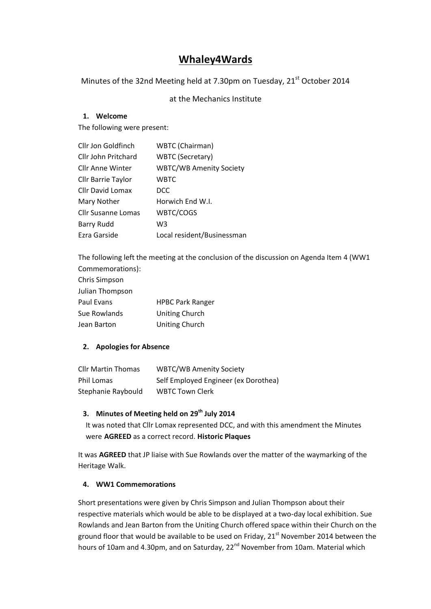# **Whaley4Wards**

Minutes of the 32nd Meeting held at 7.30pm on Tuesday, 21<sup>st</sup> October 2014

at the Mechanics Institute

## **1. Welcome**

The following were present:

| Cllr Jon Goldfinch        | WBTC (Chairman)                |
|---------------------------|--------------------------------|
| Cllr John Pritchard       | <b>WBTC (Secretary)</b>        |
| Cllr Anne Winter          | <b>WBTC/WB Amenity Society</b> |
| <b>Cllr Barrie Taylor</b> | WBTC                           |
| Cllr David Lomax          | <b>DCC</b>                     |
| Mary Nother               | Horwich End W.I.               |
| <b>Cllr Susanne Lomas</b> | WBTC/COGS                      |
| <b>Barry Rudd</b>         | W3                             |
| Ezra Garside              | Local resident/Businessman     |

The following left the meeting at the conclusion of the discussion on Agenda Item 4 (WW1 Commemorations):

| Chris Simpson   |                         |
|-----------------|-------------------------|
| Julian Thompson |                         |
| Paul Evans      | <b>HPBC Park Ranger</b> |
| Sue Rowlands    | Uniting Church          |
| Jean Barton     | Uniting Church          |

## **2. Apologies for Absence**

| <b>Cllr Martin Thomas</b> | <b>WBTC/WB Amenity Society</b>       |
|---------------------------|--------------------------------------|
| Phil Lomas                | Self Employed Engineer (ex Dorothea) |
| Stephanie Raybould        | <b>WBTC Town Clerk</b>               |

## **3. Minutes of Meeting held on 29th July 2014**

It was noted that Cllr Lomax represented DCC, and with this amendment the Minutes were **AGREED** as a correct record. **Historic Plaques**

It was **AGREED** that JP liaise with Sue Rowlands over the matter of the waymarking of the Heritage Walk.

## **4. WW1 Commemorations**

Short presentations were given by Chris Simpson and Julian Thompson about their respective materials which would be able to be displayed at a two-day local exhibition. Sue Rowlands and Jean Barton from the Uniting Church offered space within their Church on the ground floor that would be available to be used on Friday, 21<sup>st</sup> November 2014 between the hours of 10am and 4.30pm, and on Saturday, 22<sup>nd</sup> November from 10am. Material which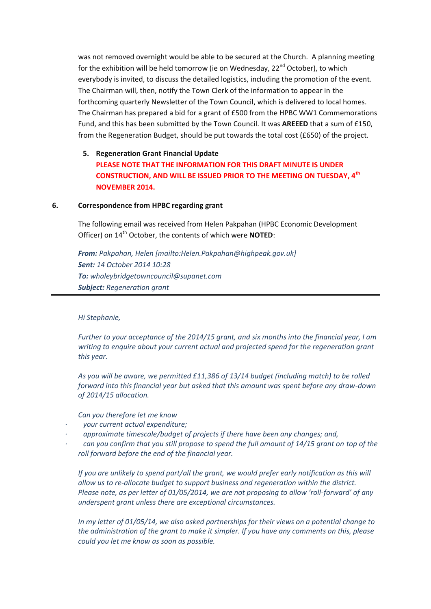was not removed overnight would be able to be secured at the Church. A planning meeting for the exhibition will be held tomorrow (ie on Wednesday, 22<sup>nd</sup> October), to which everybody is invited, to discuss the detailed logistics, including the promotion of the event. The Chairman will, then, notify the Town Clerk of the information to appear in the forthcoming quarterly Newsletter of the Town Council, which is delivered to local homes. The Chairman has prepared a bid for a grant of £500 from the HPBC WW1 Commemorations Fund, and this has been submitted by the Town Council. It was **AREEED** that a sum of £150, from the Regeneration Budget, should be put towards the total cost (£650) of the project.

## **5. Regeneration Grant Financial Update PLEASE NOTE THAT THE INFORMATION FOR THIS DRAFT MINUTE IS UNDER CONSTRUCTION, AND WILL BE ISSUED PRIOR TO THE MEETING ON TUESDAY, 4th NOVEMBER 2014.**

#### **6. Correspondence from HPBC regarding grant**

The following email was received from Helen Pakpahan (HPBC Economic Development Officer) on 14th October, the contents of which were **NOTED**:

*From: Pakpahan, Helen [mailto:Helen.Pakpahan@highpeak.gov.uk] Sent: 14 October 2014 10:28 To: whaleybridgetowncouncil@supanet.com Subject: Regeneration grant*

#### *Hi Stephanie,*

*Further to your acceptance of the 2014/15 grant, and six months into the financial year, I am writing to enquire about your current actual and projected spend for the regeneration grant this year.*

*As you will be aware, we permitted £11,386 of 13/14 budget (including match) to be rolled forward into this financial year but asked that this amount was spent before any draw-down of 2014/15 allocation.*

*Can you therefore let me know* 

- *· your current actual expenditure;*
- *· approximate timescale/budget of projects if there have been any changes; and,*
- *· can you confirm that you still propose to spend the full amount of 14/15 grant on top of the roll forward before the end of the financial year.*

*If you are unlikely to spend part/all the grant, we would prefer early notification as this will allow us to re-allocate budget to support business and regeneration within the district. Please note, as per letter of 01/05/2014, we are not proposing to allow 'roll-forward' of any underspent grant unless there are exceptional circumstances.*

*In my letter of 01/05/14, we also asked partnerships for their views on a potential change to the administration of the grant to make it simpler. If you have any comments on this, please could you let me know as soon as possible.*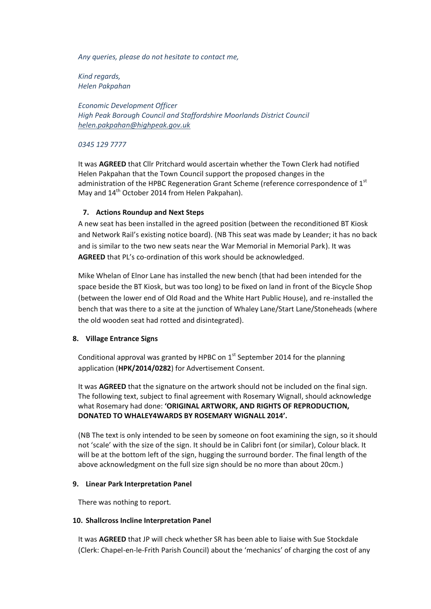*Any queries, please do not hesitate to contact me,*

*Kind regards, Helen Pakpahan*

*Economic Development Officer High Peak Borough Council and Staffordshire Moorlands District Council [helen.pakpahan@highpeak.gov.uk](https://webmail.highpeak.gov.uk/OWA/redir.aspx?C=aVAVdZ-AIkiaUaFFtpijlK4ljDLqxNFIP0Z8NhjWnEQMg9L1D8K9WMFiA5udO2ZjEVZxwxnNI2o.&URL=mailto%3ahelen.pakpahan%40highpeak.gov.uk)*

*0345 129 7777*

It was **AGREED** that Cllr Pritchard would ascertain whether the Town Clerk had notified Helen Pakpahan that the Town Council support the proposed changes in the administration of the HPBC Regeneration Grant Scheme (reference correspondence of  $1<sup>st</sup>$ May and 14<sup>th</sup> October 2014 from Helen Pakpahan).

### **7. Actions Roundup and Next Steps**

A new seat has been installed in the agreed position (between the reconditioned BT Kiosk and Network Rail's existing notice board). (NB This seat was made by Leander; it has no back and is similar to the two new seats near the War Memorial in Memorial Park). It was **AGREED** that PL's co-ordination of this work should be acknowledged.

Mike Whelan of Elnor Lane has installed the new bench (that had been intended for the space beside the BT Kiosk, but was too long) to be fixed on land in front of the Bicycle Shop (between the lower end of Old Road and the White Hart Public House), and re-installed the bench that was there to a site at the junction of Whaley Lane/Start Lane/Stoneheads (where the old wooden seat had rotted and disintegrated).

#### **8. Village Entrance Signs**

Conditional approval was granted by HPBC on  $1<sup>st</sup>$  September 2014 for the planning application (**HPK/2014/0282**) for Advertisement Consent.

It was **AGREED** that the signature on the artwork should not be included on the final sign. The following text, subject to final agreement with Rosemary Wignall, should acknowledge what Rosemary had done: **'ORIGINAL ARTWORK, AND RIGHTS OF REPRODUCTION, DONATED TO WHALEY4WARDS BY ROSEMARY WIGNALL 2014'.**

(NB The text is only intended to be seen by someone on foot examining the sign, so it should not 'scale' with the size of the sign. It should be in Calibri font (or similar), Colour black. It will be at the bottom left of the sign, hugging the surround border. The final length of the above acknowledgment on the full size sign should be no more than about 20cm.)

#### **9. Linear Park Interpretation Panel**

There was nothing to report.

#### **10. Shallcross Incline Interpretation Panel**

It was **AGREED** that JP will check whether SR has been able to liaise with Sue Stockdale (Clerk: Chapel-en-le-Frith Parish Council) about the 'mechanics' of charging the cost of any